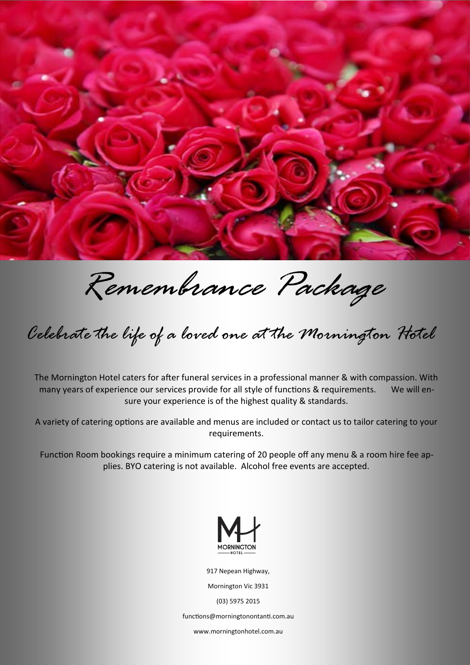

*Remembrance Package*

*Celebrate the life of a loved one at the Mornington Hotel* 

The Mornington Hotel caters for after funeral services in a professional manner & with compassion. With many years of experience our services provide for all style of functions & requirements. We will ensure your experience is of the highest quality & standards.

A variety of catering options are available and menus are included or contact us to tailor catering to your requirements.

Function Room bookings require a minimum catering of 20 people off any menu & a room hire fee applies. BYO catering is not available. Alcohol free events are accepted.



917 Nepean Highway,

Mornington Vic 3931

(03) 5975 2015

functions@morningtonontanti.com.au

www.morningtonhotel.com.au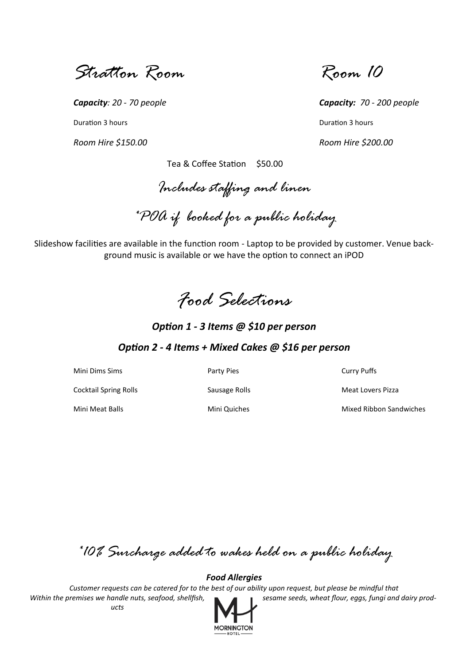*Stratton Room Room 10*

**Duration 3 hours** Duration 3 hours **Duration 3 hours** 

*Room Hire \$150.00 Room Hire \$200.00*

*Capacity: 20 - 70 people Capacity: 70 - 200 people*

Tea & Coffee Station \$50.00

*Includes staffing and linen*

*\*POA if booked for a public holiday*

Slideshow facilities are available in the function room - Laptop to be provided by customer. Venue background music is available or we have the option to connect an iPOD

*Food Selections*

*Option 1 - 3 Items @ \$10 per person*

# *Option 2 - 4 Items + Mixed Cakes @ \$16 per person*

Mini Dims Sims **Party Pies** Party Pies **Party Puffs** Curry Puffs Cocktail Spring Rolls **Sausage Rolls** Sausage Rolls Meat Lovers Pizza Mini Meat Balls Mini Quiches Mixed Ribbon Sandwiches

*\*10% Surcharge added to wakes held on a public holiday*

*Food Allergies*

*Customer requests can be catered for to the best of our ability upon request, but please be mindful that Within the premises we handle nuts, seafood, shellfish, seeds and actrime seeds, wheat flour, eggs, fungi and dairy products*

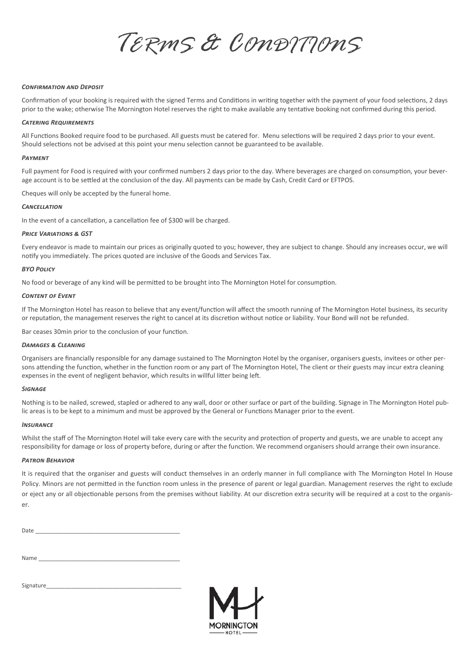*TERMS & CONDITIONS*

## *Confirmation and Deposit*

Confirmation of your booking is required with the signed Terms and Conditions in writing together with the payment of your food selections, 2 days prior to the wake; otherwise The Mornington Hotel reserves the right to make available any tentative booking not confirmed during this period.

## *Catering Requirements*

All Functions Booked require food to be purchased. All guests must be catered for. Menu selections will be required 2 days prior to your event. Should selections not be advised at this point your menu selection cannot be guaranteed to be available.

## *Payment*

Full payment for Food is required with your confirmed numbers 2 days prior to the day. Where beverages are charged on consumption, your beverage account is to be settled at the conclusion of the day. All payments can be made by Cash, Credit Card or EFTPOS.

Cheques will only be accepted by the funeral home.

### *Cancellation*

In the event of a cancellation, a cancellation fee of \$300 will be charged.

### *Price Variations & GST*

Every endeavor is made to maintain our prices as originally quoted to you; however, they are subject to change. Should any increases occur, we will notify you immediately. The prices quoted are inclusive of the Goods and Services Tax.

### *BYO Policy*

No food or beverage of any kind will be permitted to be brought into The Mornington Hotel for consumption.

### *Content of Event*

If The Mornington Hotel has reason to believe that any event/function will affect the smooth running of The Mornington Hotel business, its security or reputation, the management reserves the right to cancel at its discretion without notice or liability. Your Bond will not be refunded.

Bar ceases 30min prior to the conclusion of your function.

# *Damages & Cleaning*

Organisers are financially responsible for any damage sustained to The Mornington Hotel by the organiser, organisers guests, invitees or other persons attending the function, whether in the function room or any part of The Mornington Hotel, The client or their guests may incur extra cleaning expenses in the event of negligent behavior, which results in willful litter being left.

#### *Signage*

Nothing is to be nailed, screwed, stapled or adhered to any wall, door or other surface or part of the building. Signage in The Mornington Hotel public areas is to be kept to a minimum and must be approved by the General or Functions Manager prior to the event.

#### *Insurance*

Whilst the staff of The Mornington Hotel will take every care with the security and protection of property and guests, we are unable to accept any responsibility for damage or loss of property before, during or after the function. We recommend organisers should arrange their own insurance.

## *Patron Behavior*

It is required that the organiser and guests will conduct themselves in an orderly manner in full compliance with The Mornington Hotel In House Policy. Minors are not permitted in the function room unless in the presence of parent or legal guardian. Management reserves the right to exclude or eject any or all objectionable persons from the premises without liability. At our discretion extra security will be required at a cost to the organiser.

| Date |  |  |  |
|------|--|--|--|

| Name |  |
|------|--|
|      |  |

| Signature |  |
|-----------|--|
|           |  |